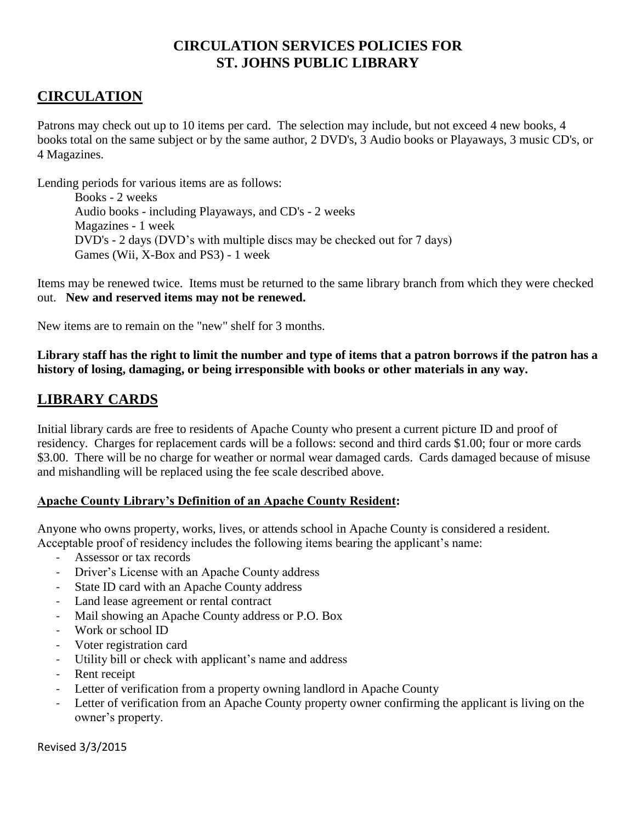## **CIRCULATION SERVICES POLICIES FOR ST. JOHNS PUBLIC LIBRARY**

# **CIRCULATION**

Patrons may check out up to 10 items per card. The selection may include, but not exceed 4 new books, 4 books total on the same subject or by the same author, 2 DVD's, 3 Audio books or Playaways, 3 music CD's, or 4 Magazines.

Lending periods for various items are as follows:

Books - 2 weeks Audio books - including Playaways, and CD's - 2 weeks Magazines - 1 week DVD's - 2 days (DVD's with multiple discs may be checked out for 7 days) Games (Wii, X-Box and PS3) - 1 week

Items may be renewed twice. Items must be returned to the same library branch from which they were checked out. **New and reserved items may not be renewed.**

New items are to remain on the "new" shelf for 3 months.

**Library staff has the right to limit the number and type of items that a patron borrows if the patron has a history of losing, damaging, or being irresponsible with books or other materials in any way.**

## **LIBRARY CARDS**

Initial library cards are free to residents of Apache County who present a current picture ID and proof of residency. Charges for replacement cards will be a follows: second and third cards \$1.00; four or more cards \$3.00. There will be no charge for weather or normal wear damaged cards. Cards damaged because of misuse and mishandling will be replaced using the fee scale described above.

### **Apache County Library's Definition of an Apache County Resident:**

Anyone who owns property, works, lives, or attends school in Apache County is considered a resident. Acceptable proof of residency includes the following items bearing the applicant's name:

- Assessor or tax records
- Driver's License with an Apache County address
- State ID card with an Apache County address
- Land lease agreement or rental contract
- Mail showing an Apache County address or P.O. Box
- Work or school ID
- Voter registration card
- Utility bill or check with applicant's name and address
- Rent receipt
- Letter of verification from a property owning landlord in Apache County
- Letter of verification from an Apache County property owner confirming the applicant is living on the owner's property.

Revised 3/3/2015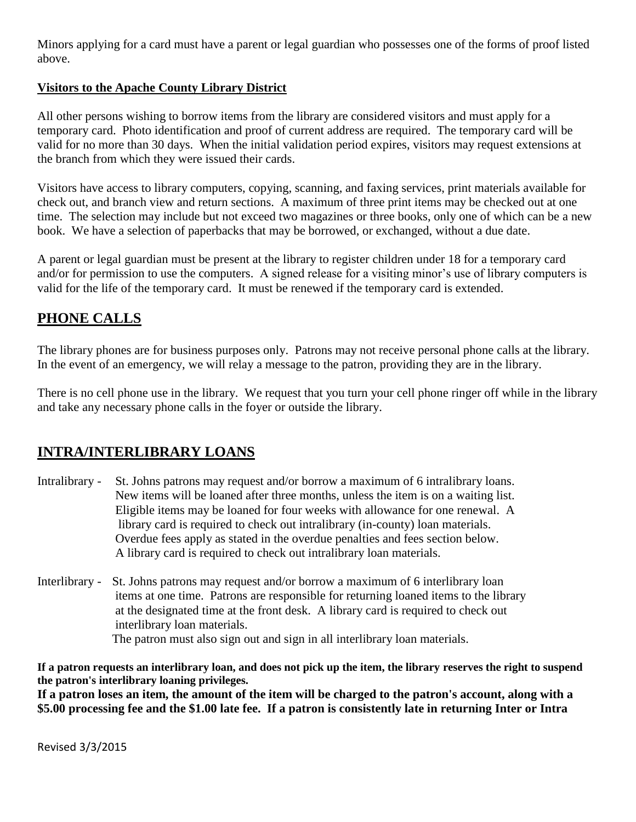Minors applying for a card must have a parent or legal guardian who possesses one of the forms of proof listed above.

### **Visitors to the Apache County Library District**

All other persons wishing to borrow items from the library are considered visitors and must apply for a temporary card. Photo identification and proof of current address are required. The temporary card will be valid for no more than 30 days. When the initial validation period expires, visitors may request extensions at the branch from which they were issued their cards.

Visitors have access to library computers, copying, scanning, and faxing services, print materials available for check out, and branch view and return sections. A maximum of three print items may be checked out at one time. The selection may include but not exceed two magazines or three books, only one of which can be a new book. We have a selection of paperbacks that may be borrowed, or exchanged, without a due date.

A parent or legal guardian must be present at the library to register children under 18 for a temporary card and/or for permission to use the computers. A signed release for a visiting minor's use of library computers is valid for the life of the temporary card. It must be renewed if the temporary card is extended.

# **PHONE CALLS**

The library phones are for business purposes only. Patrons may not receive personal phone calls at the library. In the event of an emergency, we will relay a message to the patron, providing they are in the library.

There is no cell phone use in the library. We request that you turn your cell phone ringer off while in the library and take any necessary phone calls in the foyer or outside the library.

## **INTRA/INTERLIBRARY LOANS**

- Intralibrary St. Johns patrons may request and/or borrow a maximum of 6 intralibrary loans. New items will be loaned after three months, unless the item is on a waiting list. Eligible items may be loaned for four weeks with allowance for one renewal. A library card is required to check out intralibrary (in-county) loan materials. Overdue fees apply as stated in the overdue penalties and fees section below. A library card is required to check out intralibrary loan materials.
- Interlibrary St. Johns patrons may request and/or borrow a maximum of 6 interlibrary loan items at one time. Patrons are responsible for returning loaned items to the library at the designated time at the front desk. A library card is required to check out interlibrary loan materials. The patron must also sign out and sign in all interlibrary loan materials.

**If a patron requests an interlibrary loan, and does not pick up the item, the library reserves the right to suspend the patron's interlibrary loaning privileges.**

**If a patron loses an item, the amount of the item will be charged to the patron's account, along with a \$5.00 processing fee and the \$1.00 late fee. If a patron is consistently late in returning Inter or Intra**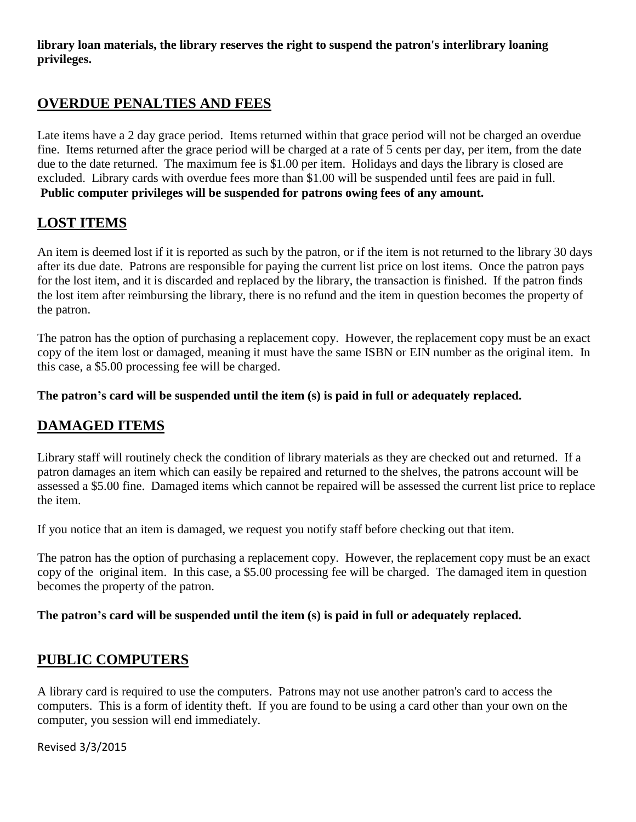**library loan materials, the library reserves the right to suspend the patron's interlibrary loaning privileges.** 

### **OVERDUE PENALTIES AND FEES**

Late items have a 2 day grace period. Items returned within that grace period will not be charged an overdue fine. Items returned after the grace period will be charged at a rate of 5 cents per day, per item, from the date due to the date returned. The maximum fee is \$1.00 per item. Holidays and days the library is closed are excluded. Library cards with overdue fees more than \$1.00 will be suspended until fees are paid in full. **Public computer privileges will be suspended for patrons owing fees of any amount.** 

# **LOST ITEMS**

An item is deemed lost if it is reported as such by the patron, or if the item is not returned to the library 30 days after its due date. Patrons are responsible for paying the current list price on lost items. Once the patron pays for the lost item, and it is discarded and replaced by the library, the transaction is finished. If the patron finds the lost item after reimbursing the library, there is no refund and the item in question becomes the property of the patron.

The patron has the option of purchasing a replacement copy. However, the replacement copy must be an exact copy of the item lost or damaged, meaning it must have the same ISBN or EIN number as the original item. In this case, a \$5.00 processing fee will be charged.

### **The patron's card will be suspended until the item (s) is paid in full or adequately replaced.**

## **DAMAGED ITEMS**

Library staff will routinely check the condition of library materials as they are checked out and returned. If a patron damages an item which can easily be repaired and returned to the shelves, the patrons account will be assessed a \$5.00 fine. Damaged items which cannot be repaired will be assessed the current list price to replace the item.

If you notice that an item is damaged, we request you notify staff before checking out that item.

The patron has the option of purchasing a replacement copy. However, the replacement copy must be an exact copy of the original item. In this case, a \$5.00 processing fee will be charged. The damaged item in question becomes the property of the patron.

### **The patron's card will be suspended until the item (s) is paid in full or adequately replaced.**

## **PUBLIC COMPUTERS**

A library card is required to use the computers. Patrons may not use another patron's card to access the computers. This is a form of identity theft. If you are found to be using a card other than your own on the computer, you session will end immediately.

Revised 3/3/2015